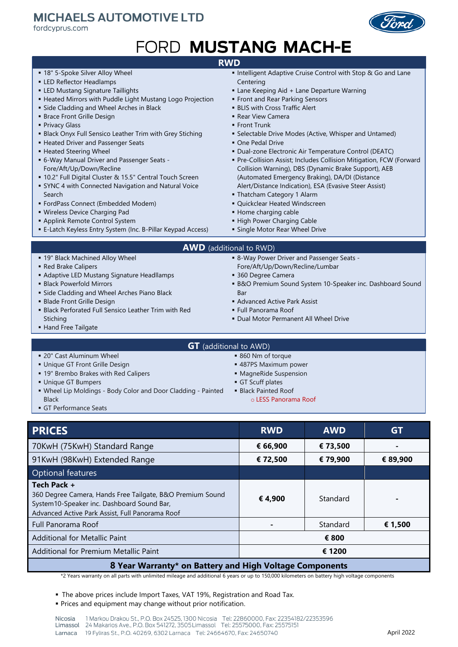## **MICHAELS AUTOMOTIVE LTD**

fordcyprus.com



# FORD MUSTANG MACH-E

### **RWD**

- **.** 18" 5-Spoke Silver Alloy Wheel
- **ELED Reflector Headlamps**
- **.** LED Mustang Signature Taillights
- **E** Heated Mirrors with Puddle Light Mustang Logo Projection
- **Example 2** Side Cladding and Wheel Arches in Black
- **· Brace Front Grille Design**
- **Privacy Glass**
- **E** Black Onyx Full Sensico Leather Trim with Grey Stiching
- **E** Heated Driver and Passenger Seats
- **E** Heated Steering Wheel
- 6-Way Manual Driver and Passenger Seats -Fore/Aft/Up/Down/Recline
- 10.2" Full Digital Cluster & 15.5" Central Touch Screen
- **EXALC 4 with Connected Navigation and Natural Voice** Search
- FordPass Connect (Embedded Modem)
- Wireless Device Charging Pad
- **.** Applink Remote Control System
- E-Latch Keyless Entry System (Inc. B-Pillar Keypad Access)
- 
- Intelligent Adaptive Cruise Control with Stop & Go and Lane **Centering**
- **E** Lane Keeping Aid + Lane Departure Warning
- **Exercise 1 Front and Rear Parking Sensors**
- **.** BLIS with Cross Traffic Alert
- **Rear View Camera**
- **Eront Trunk**
- **E** Selectable Drive Modes (Active, Whisper and Untamed)
- One Pedal Drive
- Dual-zone Electronic Air Temperature Control (DEATC)
- **Pre-Collision Assist; Includes Collision Mitigation, FCW (Forward** Collision Warning), DBS (Dynamic Brake Support), AEB (Automated Emergency Braking), DA/DI (Distance Alert/Distance Indication), ESA (Evasive Steer Assist)
- Thatcham Category 1 Alarm
- Quickclear Heated Windscreen
- Home charging cable
- **.** High Power Charging Cable
- **E** Single Motor Rear Wheel Drive

#### **AWD** (additional to RWD)

- **.** 19" Black Machined Alloy Wheel
- Red Brake Calipers
- **E** Adaptive LED Mustang Signature Headllamps
- **Black Powerfold Mirrors**
- **E** Side Cladding and Wheel Arches Piano Black
- **Blade Front Grille Design**

■ 20" Cast Aluminum Wheel **.** Unique GT Front Grille Design ■ 19" Brembo Brakes with Red Calipers

**E** Black Perforated Full Sensico Leather Trim with Red Stiching

▪ Wheel Lip Moldings - Body Color and Door Cladding - Painted

**E** Hand Free Tailgate

- - 8-Way Power Driver and Passenger Seats -Fore/Aft/Up/Down/Recline/Lumbar
	- 360 Degree Camera
	- **B&O Premium Sound System 10-Speaker inc. Dashboard Sound** Bar
	- **E** Advanced Active Park Assist
	- Full Panorama Roof
	- **Dual Motor Permanent All Wheel Drive**
	- 860 Nm of torque
	- 487PS Maximum power
	- MagneRide Suspension
	- **·** GT Scuff plates
	- **·** Black Painted Roof
		- o LESS Panorama Roof

**• GT Performance Seats** 

▪ Unique GT Bumpers

Black

| <b>PRICES</b>                                                                                                                                                             | <b>RWD</b> | <b>AWD</b> | <b>GT</b> |  |  |  |  |
|---------------------------------------------------------------------------------------------------------------------------------------------------------------------------|------------|------------|-----------|--|--|--|--|
| 70KwH (75KwH) Standard Range                                                                                                                                              | € 66,900   | € 73,500   |           |  |  |  |  |
| 91KwH (98KwH) Extended Range                                                                                                                                              | € 72,500   | € 79,900   | € 89,900  |  |  |  |  |
| Optional features                                                                                                                                                         |            |            |           |  |  |  |  |
| Tech Pack +<br>360 Degree Camera, Hands Free Tailgate, B&O Premium Sound<br>System10-Speaker inc. Dashboard Sound Bar,<br>Advanced Active Park Assist, Full Panorama Roof | € 4,900    | Standard   |           |  |  |  |  |
| Full Panorama Roof                                                                                                                                                        |            | Standard   | € 1,500   |  |  |  |  |
| <b>Additional for Metallic Paint</b>                                                                                                                                      |            | € 800      |           |  |  |  |  |
| Additional for Premium Metallic Paint                                                                                                                                     |            | € 1200     |           |  |  |  |  |
| 8 Year Warranty* on Battery and High Voltage Components                                                                                                                   |            |            |           |  |  |  |  |

\*2 Years warranty on all parts with unlimited mileage and additional 6 years or up to 150,000 kilometers on battery high voltage components

▪ The above prices include Import Taxes, VAT 19%, Registration and Road Tax.

**• Prices and equipment may change without prior notification.** 

- **GT** (additional to AWD)
	- -